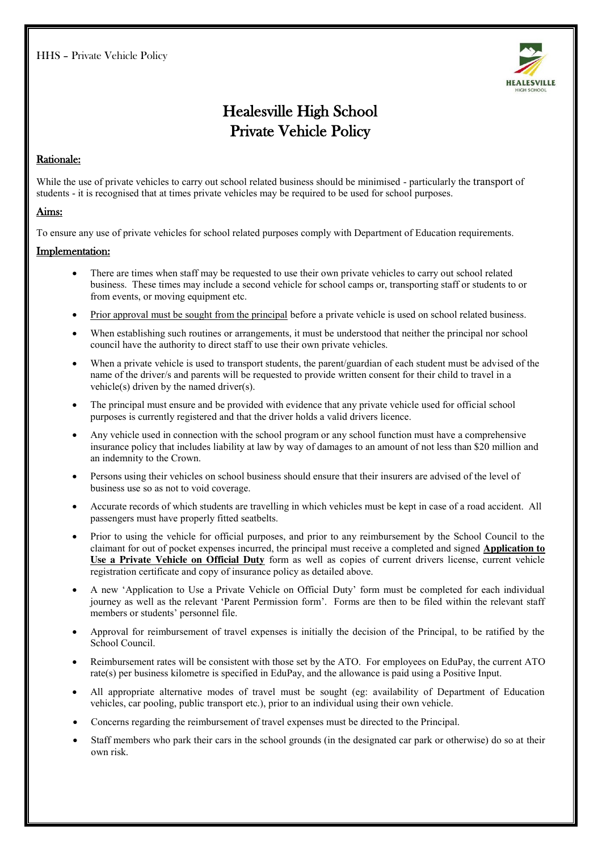

# Healesville High School Private Vehicle Policy

## Rationale:

While the use of private vehicles to carry out school related business should be minimised - particularly the transport of students - it is recognised that at times private vehicles may be required to be used for school purposes.

#### Aims:

To ensure any use of private vehicles for school related purposes comply with Department of Education requirements.

#### Implementation:

- There are times when staff may be requested to use their own private vehicles to carry out school related business. These times may include a second vehicle for school camps or, transporting staff or students to or from events, or moving equipment etc.
- Prior approval must be sought from the principal before a private vehicle is used on school related business.
- x When establishing such routines or arrangements, it must be understood that neither the principal nor school council have the authority to direct staff to use their own private vehicles.
- When a private vehicle is used to transport students, the parent/guardian of each student must be advised of the name of the driver/s and parents will be requested to provide written consent for their child to travel in a vehicle(s) driven by the named driver(s).
- The principal must ensure and be provided with evidence that any private vehicle used for official school purposes is currently registered and that the driver holds a valid drivers licence.
- Any vehicle used in connection with the school program or any school function must have a comprehensive insurance policy that includes liability at law by way of damages to an amount of not less than \$20 million and an indemnity to the Crown.
- x Persons using their vehicles on school business should ensure that their insurers are advised of the level of business use so as not to void coverage.
- x Accurate records of which students are travelling in which vehicles must be kept in case of a road accident. All passengers must have properly fitted seatbelts.
- Prior to using the vehicle for official purposes, and prior to any reimbursement by the School Council to the claimant for out of pocket expenses incurred, the principal must receive a completed and signed **Application to Use a Private Vehicle on Official Duty** form as well as copies of current drivers license, current vehicle registration certificate and copy of insurance policy as detailed above.
- x A new 'Application to Use a Private Vehicle on Official Duty' form must be completed for each individual journey as well as the relevant 'Parent Permission form'. Forms are then to be filed within the relevant staff members or students' personnel file.
- Approval for reimbursement of travel expenses is initially the decision of the Principal, to be ratified by the School Council.
- Reimbursement rates will be consistent with those set by the ATO. For employees on EduPay, the current ATO rate(s) per business kilometre is specified in EduPay, and the allowance is paid using a Positive Input.
- All appropriate alternative modes of travel must be sought (eg: availability of Department of Education vehicles, car pooling, public transport etc.), prior to an individual using their own vehicle.
- x Concerns regarding the reimbursement of travel expenses must be directed to the Principal.
- Staff members who park their cars in the school grounds (in the designated car park or otherwise) do so at their own risk.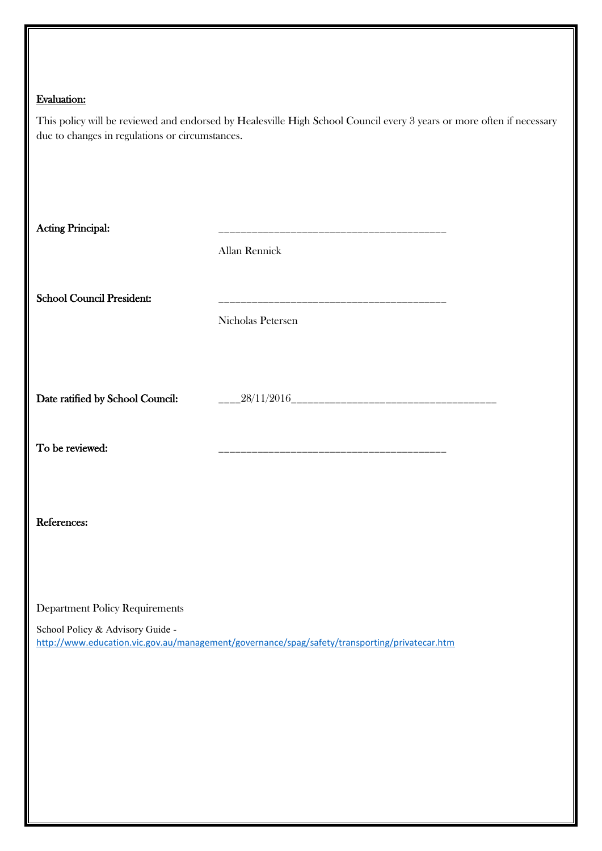# Evaluation:

| due to changes in regulations or circumstances. | This policy will be reviewed and endorsed by Healesville High School Council every 3 years or more often if necessary |
|-------------------------------------------------|-----------------------------------------------------------------------------------------------------------------------|
| <b>Acting Principal:</b>                        |                                                                                                                       |
|                                                 | Allan Rennick                                                                                                         |
| <b>School Council President:</b>                | Nicholas Petersen                                                                                                     |
| Date ratified by School Council:                |                                                                                                                       |
| To be reviewed:                                 |                                                                                                                       |
| References:                                     |                                                                                                                       |
| <b>Department Policy Requirements</b>           |                                                                                                                       |
| School Policy & Advisory Guide -                | http://www.education.vic.gov.au/management/governance/spag/safety/transporting/privatecar.htm                         |
|                                                 |                                                                                                                       |
|                                                 |                                                                                                                       |
|                                                 |                                                                                                                       |
|                                                 |                                                                                                                       |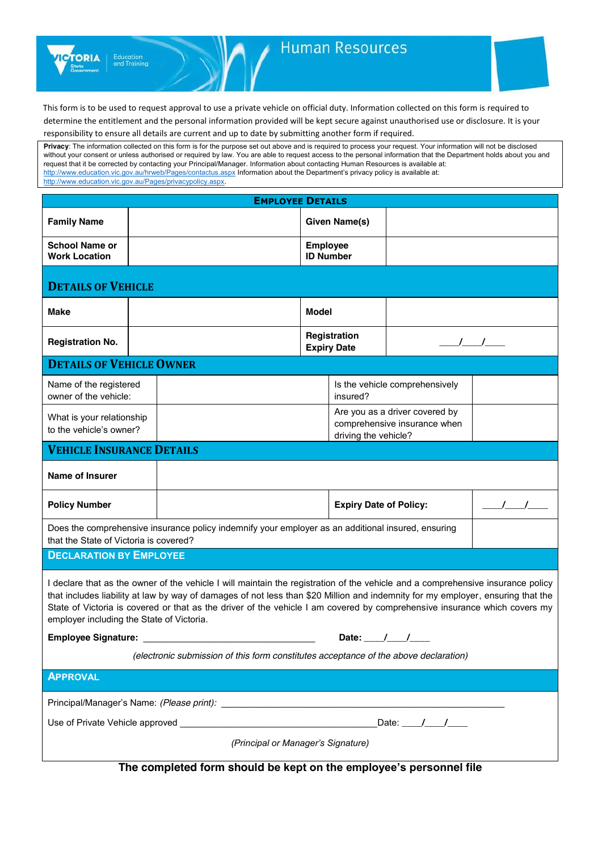

# **Human Resources**

This form is to be used to request approval to use a private vehicle on official duty. Information collected on this form is required to determine the entitlement and the personal information provided will be kept secure against unauthorised use or disclosure. It is your responsibility to ensure all details are current and up to date by submitting another form if required.

**Privacy**: The information collected on this form is for the purpose set out above and is required to process your request. Your information will not be disclosed without your consent or unless authorised or required by law. You are able to request access to the personal information that the Department holds about you and request that it be corrected by contacting your Principal/Manager. Information about contacting Human Resources is available at: <http://www.education.vic.gov.au/hrweb/Pages/contactus.aspx> Information about the Department's privacy policy is available at: [http://www.education.vic.gov.au/Pages/privacypolicy.aspx.](http://www.education.vic.gov.au/Pages/privacypolicy.aspx)

| <b>EMPLOYEE DETAILS</b>                                                                                                                                                                                                                                                                                                                                                                                                                      |  |  |                                     |                                            |                                                                |               |  |  |
|----------------------------------------------------------------------------------------------------------------------------------------------------------------------------------------------------------------------------------------------------------------------------------------------------------------------------------------------------------------------------------------------------------------------------------------------|--|--|-------------------------------------|--------------------------------------------|----------------------------------------------------------------|---------------|--|--|
| <b>Family Name</b>                                                                                                                                                                                                                                                                                                                                                                                                                           |  |  |                                     | <b>Given Name(s)</b>                       |                                                                |               |  |  |
| <b>School Name or</b><br><b>Work Location</b>                                                                                                                                                                                                                                                                                                                                                                                                |  |  | <b>Employee</b><br><b>ID Number</b> |                                            |                                                                |               |  |  |
| <b>DETAILS OF VEHICLE</b>                                                                                                                                                                                                                                                                                                                                                                                                                    |  |  |                                     |                                            |                                                                |               |  |  |
| Make                                                                                                                                                                                                                                                                                                                                                                                                                                         |  |  | <b>Model</b>                        |                                            |                                                                |               |  |  |
| <b>Registration No.</b>                                                                                                                                                                                                                                                                                                                                                                                                                      |  |  |                                     | Registration<br><b>Expiry Date</b>         |                                                                | $\frac{1}{2}$ |  |  |
| <b>DETAILS OF VEHICLE OWNER</b>                                                                                                                                                                                                                                                                                                                                                                                                              |  |  |                                     |                                            |                                                                |               |  |  |
| Name of the registered<br>owner of the vehicle:                                                                                                                                                                                                                                                                                                                                                                                              |  |  |                                     | Is the vehicle comprehensively<br>insured? |                                                                |               |  |  |
| What is your relationship<br>to the vehicle's owner?                                                                                                                                                                                                                                                                                                                                                                                         |  |  |                                     | driving the vehicle?                       | Are you as a driver covered by<br>comprehensive insurance when |               |  |  |
| <b>VEHICLE INSURANCE DETAILS</b>                                                                                                                                                                                                                                                                                                                                                                                                             |  |  |                                     |                                            |                                                                |               |  |  |
| <b>Name of Insurer</b>                                                                                                                                                                                                                                                                                                                                                                                                                       |  |  |                                     |                                            |                                                                |               |  |  |
| <b>Policy Number</b>                                                                                                                                                                                                                                                                                                                                                                                                                         |  |  |                                     | <b>Expiry Date of Policy:</b>              |                                                                | $\frac{1}{2}$ |  |  |
| Does the comprehensive insurance policy indemnify your employer as an additional insured, ensuring<br>that the State of Victoria is covered?                                                                                                                                                                                                                                                                                                 |  |  |                                     |                                            |                                                                |               |  |  |
| <b>DECLARATION BY EMPLOYEE</b>                                                                                                                                                                                                                                                                                                                                                                                                               |  |  |                                     |                                            |                                                                |               |  |  |
| I declare that as the owner of the vehicle I will maintain the registration of the vehicle and a comprehensive insurance policy<br>that includes liability at law by way of damages of not less than \$20 Million and indemnity for my employer, ensuring that the<br>State of Victoria is covered or that as the driver of the vehicle I am covered by comprehensive insurance which covers my<br>employer including the State of Victoria. |  |  |                                     |                                            |                                                                |               |  |  |
| Date: $\frac{1}{\sqrt{2}}$                                                                                                                                                                                                                                                                                                                                                                                                                   |  |  |                                     |                                            |                                                                |               |  |  |
| (electronic submission of this form constitutes acceptance of the above declaration)                                                                                                                                                                                                                                                                                                                                                         |  |  |                                     |                                            |                                                                |               |  |  |
| <b>APPROVAL</b>                                                                                                                                                                                                                                                                                                                                                                                                                              |  |  |                                     |                                            |                                                                |               |  |  |
|                                                                                                                                                                                                                                                                                                                                                                                                                                              |  |  |                                     |                                            |                                                                |               |  |  |
| Date: $\frac{1}{\sqrt{1-\frac{1}{2}}}$                                                                                                                                                                                                                                                                                                                                                                                                       |  |  |                                     |                                            |                                                                |               |  |  |
| (Principal or Manager's Signature)                                                                                                                                                                                                                                                                                                                                                                                                           |  |  |                                     |                                            |                                                                |               |  |  |

**The completed form should be kept on the employee's personnel file**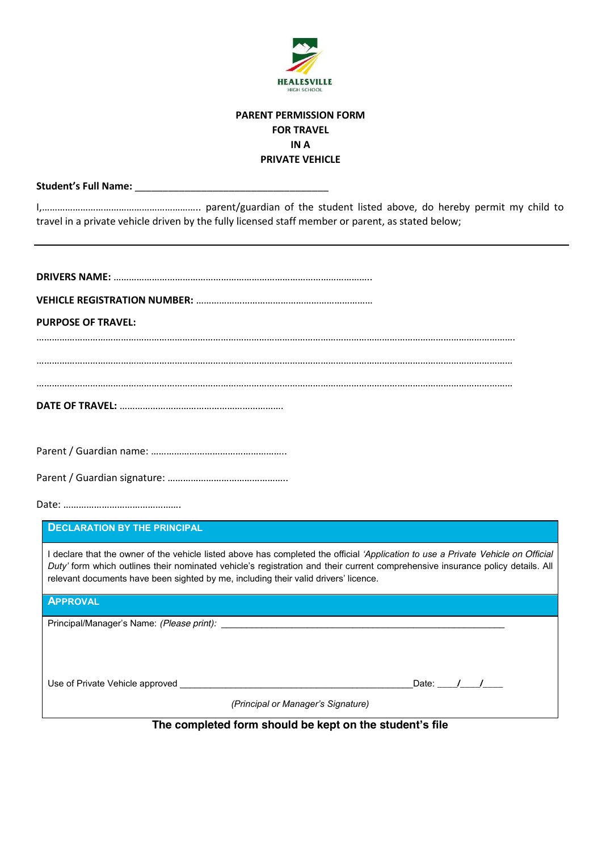

## **PARENT PERMISSION FORM FOR TRAVEL IN A PRIVATE VEHICLE**

**Student's Full Name:** \_\_\_\_\_\_\_\_\_\_\_\_\_\_\_\_\_\_\_\_\_\_\_\_\_\_\_\_\_\_\_\_\_\_\_

I,…………………………………………………….. parent/guardian of the student listed above, do hereby permit my child to travel in a private vehicle driven by the fully licensed staff member or parent, as stated below;

| <b>PURPOSE OF TRAVEL:</b>                                                                                                                                                                                                                                                                                                                                  |
|------------------------------------------------------------------------------------------------------------------------------------------------------------------------------------------------------------------------------------------------------------------------------------------------------------------------------------------------------------|
|                                                                                                                                                                                                                                                                                                                                                            |
|                                                                                                                                                                                                                                                                                                                                                            |
|                                                                                                                                                                                                                                                                                                                                                            |
|                                                                                                                                                                                                                                                                                                                                                            |
|                                                                                                                                                                                                                                                                                                                                                            |
|                                                                                                                                                                                                                                                                                                                                                            |
|                                                                                                                                                                                                                                                                                                                                                            |
|                                                                                                                                                                                                                                                                                                                                                            |
| <b>DECLARATION BY THE PRINCIPAL</b>                                                                                                                                                                                                                                                                                                                        |
| I declare that the owner of the vehicle listed above has completed the official 'Application to use a Private Vehicle on Official<br>Duty' form which outlines their nominated vehicle's registration and their current comprehensive insurance policy details. All<br>relevant documents have been sighted by me, including their valid drivers' licence. |
| <b>APPROVAL</b>                                                                                                                                                                                                                                                                                                                                            |
|                                                                                                                                                                                                                                                                                                                                                            |
|                                                                                                                                                                                                                                                                                                                                                            |
|                                                                                                                                                                                                                                                                                                                                                            |

Use of Private Vehicle approved \_\_\_\_\_\_\_\_\_\_\_\_\_\_\_\_\_\_\_\_\_\_\_\_\_\_\_\_\_\_\_\_\_\_\_\_\_\_\_\_\_\_\_\_\_\_Date: **\_\_\_\_/\_\_\_\_/\_\_\_\_**

*(Principal or Manager's Signature)*

**The completed form should be kept on the student's file**